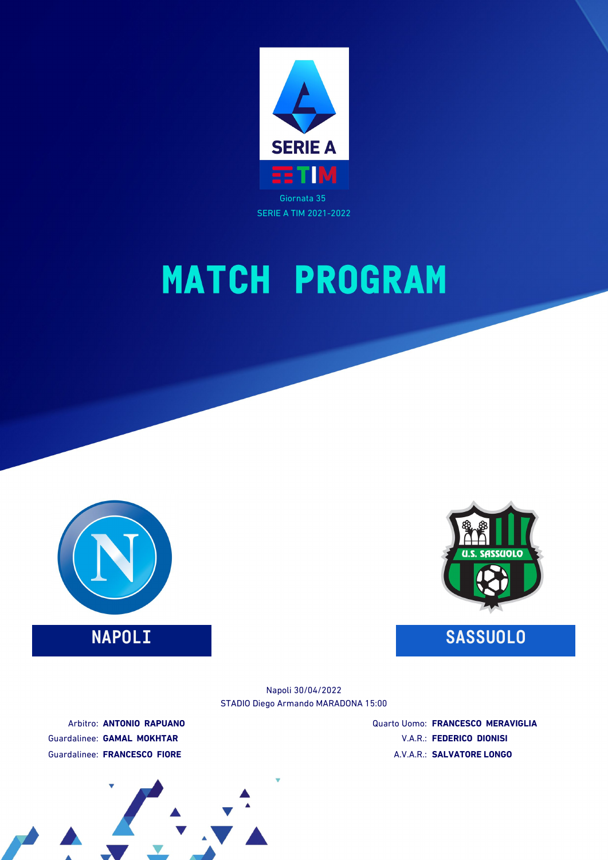





### **NAPOLI SASSUOLO**

STADIO Diego Armando MARADONA 15:00 Napoli 30/04/2022

Arbitro: **ANTONIO RAPUANO** Guardalinee: **GAMAL MOKHTAR** Guardalinee: **FRANCESCO FIORE**

Quarto Uomo: **FRANCESCO MERAVIGLIA** V.A.R.: **FEDERICO DIONISI** A.V.A.R.: **SALVATORE LONGO**

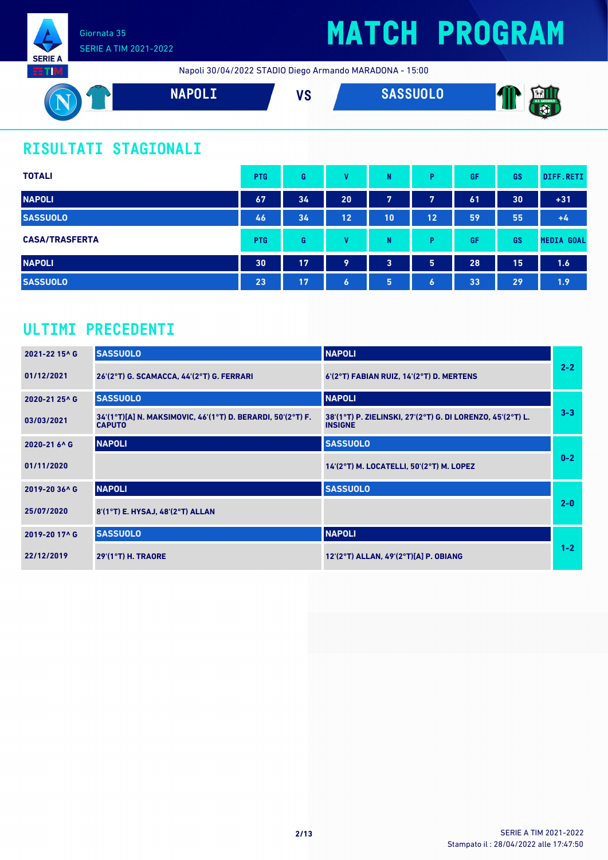

## **MATCH PROGRAM**

Napoli 30/04/2022 STADIO Diego Armando MARADONA - 15:00



### **RISULTATI STAGIONALI**

| <b>TOTALI</b>         | <b>PTG</b> | G  | v         | N  | P                | GF | GS | DIFF.RETI         |
|-----------------------|------------|----|-----------|----|------------------|----|----|-------------------|
| <b>NAPOLI</b>         | 67         | 34 | 20        | 7  | 7                | 61 | 30 | $+31$             |
| <b>SASSUOLO</b>       | 46         | 34 | 12        | 10 | 12               | 59 | 55 | $+4$              |
| <b>CASA/TRASFERTA</b> | <b>PTG</b> | G  | v         | N  | P                | GF | GS | <b>MEDIA GOAL</b> |
| <b>NAPOLI</b>         | 30         | 17 | 9         | 3  | 5                | 28 | 15 | 1.6               |
| <b>SASSUOLO</b>       | 23         | 17 | $\bullet$ | 5  | $\boldsymbol{6}$ | 33 | 29 | 1.9               |

### **ULTIMI PRECEDENTI**

| 2021-22 15^ G            | <b>SASSUOLO</b>                                                              | <b>NAPOLI</b>                                                                |         |
|--------------------------|------------------------------------------------------------------------------|------------------------------------------------------------------------------|---------|
| 01/12/2021               | 26'(2°T) G. SCAMACCA, 44'(2°T) G. FERRARI                                    | 6'(2°T) FABIAN RUIZ, 14'(2°T) D. MERTENS                                     | $2 - 2$ |
| 2020-21 25^ G            | <b>SASSUOLO</b>                                                              | <b>NAPOLI</b>                                                                |         |
| 03/03/2021               | 34'(1°T)[A] N. MAKSIMOVIC, 46'(1°T) D. BERARDI, 50'(2°T) F.<br><b>CAPUTO</b> | 38'(1°T) P. ZIELINSKI, 27'(2°T) G. DI LORENZO, 45'(2°T) L.<br><b>INSIGNE</b> | $3 - 3$ |
| 2020-21 6 <sup>^</sup> G | <b>NAPOLI</b>                                                                | <b>SASSUOLO</b>                                                              |         |
| 01/11/2020               |                                                                              | 14'(2°T) M. LOCATELLI, 50'(2°T) M. LOPEZ                                     | $0 - 2$ |
| 2019-20 36^ G            | <b>NAPOLI</b>                                                                | <b>SASSUOLO</b>                                                              |         |
| 25/07/2020               | 8'(1°T) E. HYSAJ, 48'(2°T) ALLAN                                             |                                                                              | $2 - 0$ |
| 2019-20 17^ G            | <b>SASSUOLO</b>                                                              | <b>NAPOLI</b>                                                                |         |
| 22/12/2019               | $29'(1°T)$ H. TRAORE                                                         | 12'(2°T) ALLAN, 49'(2°T)[A] P. OBIANG                                        | $1 - 2$ |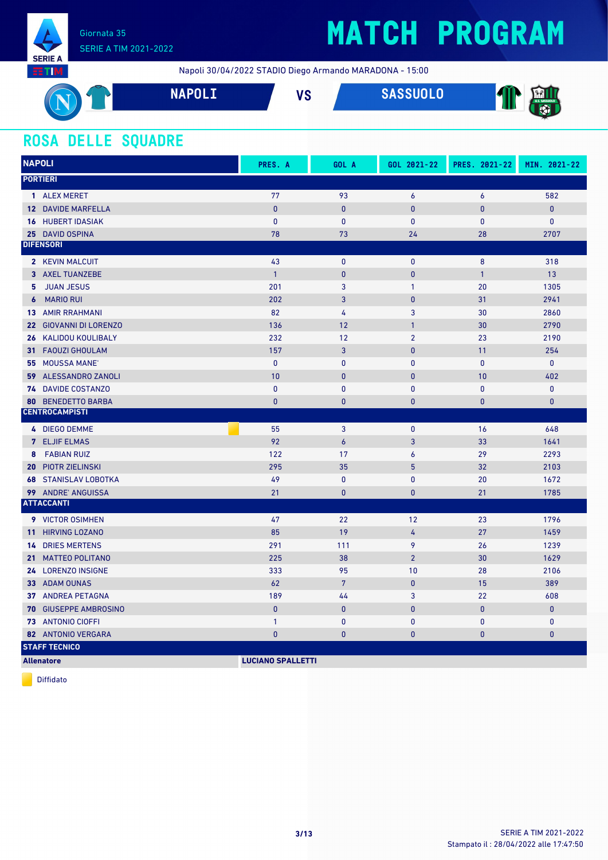

Napoli 30/04/2022 STADIO Diego Armando MARADONA - 15:00

| ↽<br>◡<br>- | <b>NAPNIT</b><br>IIA VLL | VC<br>vυ | <b>ASSUOLO</b> | <b>AND I</b><br>11<br>$\overline{\mathcal{L}}$<br>- SI 12 |
|-------------|--------------------------|----------|----------------|-----------------------------------------------------------|
|             |                          |          |                | w<br>.                                                    |

### **ROSA DELLE SQUADRE**

| <b>NAPOLI</b>     |                             | PRES. A      | GOL A          | GOL 2021-22    | PRES. 2021-22 | MIN. 2021-22 |
|-------------------|-----------------------------|--------------|----------------|----------------|---------------|--------------|
| <b>PORTIERI</b>   |                             |              |                |                |               |              |
|                   | 1 ALEX MERET                | 77           | 93             | 6              | 6             | 582          |
|                   | 12 DAVIDE MARFELLA          | $\pmb{0}$    | $\pmb{0}$      | $\bf{0}$       | $\bf{0}$      | $\pmb{0}$    |
|                   | <b>16 HUBERT IDASIAK</b>    | $\mathbf{0}$ | $\mathbf{0}$   | $\mathbf{0}$   | $\mathbf{0}$  | $\mathbf{0}$ |
|                   | 25 DAVID OSPINA             | 78           | 73             | 24             | 28            | 2707         |
| <b>DIFENSORI</b>  |                             |              |                |                |               |              |
|                   | 2 KEVIN MALCUIT             | 43           | $\mathbf{0}$   | $\mathbf{0}$   | 8             | 318          |
|                   | 3 AXEL TUANZEBE             | $\mathbf{1}$ | $\mathbf{0}$   | $\bf{0}$       | $\mathbf{1}$  | 13           |
| 5.                | <b>JUAN JESUS</b>           | 201          | 3              | $\mathbf{1}$   | 20            | 1305         |
|                   | <b>6</b> MARIO RUI          | 202          | 3              | $\mathbf{0}$   | 31            | 2941         |
|                   | <b>13 AMIR RRAHMANI</b>     | 82           | $\overline{4}$ | 3              | 30            | 2860         |
|                   | 22 GIOVANNI DI LORENZO      | 136          | 12             | $\mathbf{1}$   | 30            | 2790         |
|                   | 26 KALIDOU KOULIBALY        | 232          | 12             | $\overline{2}$ | 23            | 2190         |
|                   | 31 FAOUZI GHOULAM           | 157          | $\overline{3}$ | $\mathbf{0}$   | 11            | 254          |
|                   | 55 MOUSSA MANE'             | $\mathbf{0}$ | $\mathbf{0}$   | $\mathbf{0}$   | $\mathbf{0}$  | $\mathbf{0}$ |
|                   | 59 ALESSANDRO ZANOLI        | 10           | $\mathbf{0}$   | $\mathbf{0}$   | 10            | 402          |
|                   | 74 DAVIDE COSTANZO          | $\mathbf{0}$ | $\mathbf{0}$   | $\mathbf{0}$   | $\mathbf{0}$  | $\pmb{0}$    |
| 80                | <b>BENEDETTO BARBA</b>      | $\mathbf{0}$ | $\bf{0}$       | $\bf{0}$       | 0             | $\mathbf{0}$ |
|                   | <b>CENTROCAMPISTI</b>       |              |                |                |               |              |
|                   | 4 DIEGO DEMME               | 55           | 3              | $\pmb{0}$      | 16            | 648          |
|                   | <b>7 ELJIF ELMAS</b>        | 92           | $\overline{6}$ | 3              | 33            | 1641         |
| 8                 | <b>FABIAN RUIZ</b>          | 122          | 17             | 6              | 29            | 2293         |
|                   | <b>20 PIOTR ZIELINSKI</b>   | 295          | 35             | 5              | 32            | 2103         |
|                   | <b>68 STANISLAV LOBOTKA</b> | 49           | $\pmb{0}$      | $\pmb{0}$      | 20            | 1672         |
|                   | <b>99 ANDRE ANGUISSA</b>    | 21           | $\mathbf{0}$   | $\mathbf{0}$   | 21            | 1785         |
| <b>ATTACCANTI</b> |                             |              |                |                |               |              |
|                   | 9 VICTOR OSIMHEN            | 47           | 22             | 12             | 23            | 1796         |
|                   | 11 HIRVING LOZANO           | 85           | 19             | 4              | 27            | 1459         |
|                   | <b>14 DRIES MERTENS</b>     | 291          | 111            | 9              | 26            | 1239         |
|                   | 21 MATTEO POLITANO          | 225          | 38             | $\overline{2}$ | 30            | 1629         |
|                   | 24 LORENZO INSIGNE          | 333          | 95             | 10             | 28            | 2106         |
|                   | 33 ADAM OUNAS               | 62           | $7\phantom{.}$ | $\mathbf{0}$   | 15            | 389          |
|                   | <b>37 ANDREA PETAGNA</b>    | 189          | 44             | 3              | 22            | 608          |
|                   | 70 GIUSEPPE AMBROSINO       | $\mathbf{0}$ | $\pmb{0}$      | $\mathbf{0}$   | $\pmb{0}$     | $\pmb{0}$    |
|                   | 73 ANTONIO CIOFFI           | $\mathbf{1}$ | $\mathbf{0}$   | $\mathbf{0}$   | $\mathbf{0}$  | $\mathbf{0}$ |
|                   | 82 ANTONIO VERGARA          | $\mathbf{0}$ | $\mathbf{0}$   | $\mathbf{0}$   | $\mathbf{0}$  | $\bf{0}$     |
|                   | <b>STAFF TECNICO</b>        |              |                |                |               |              |

**Allenatore LUCIANO SPALLETTI**

Diffidato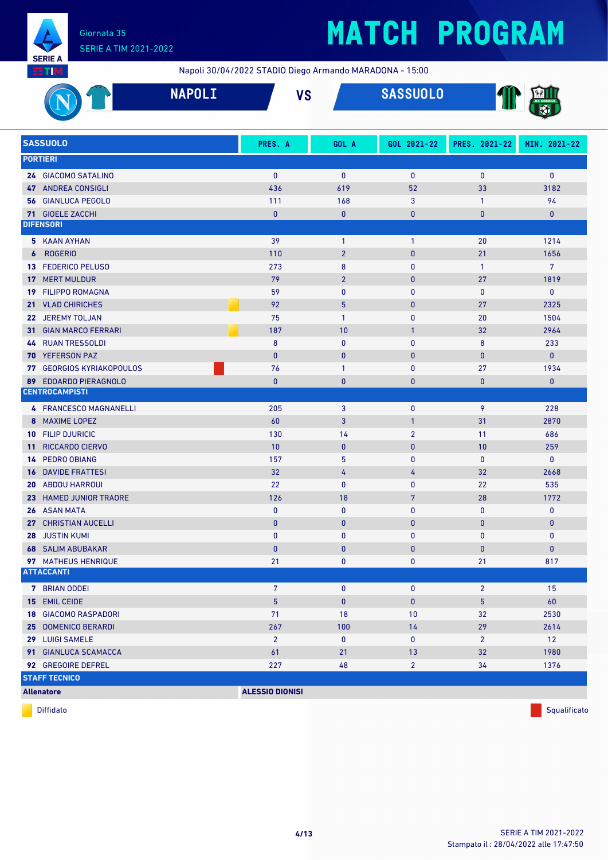

## **MATCH PROGRAM**

Napoli 30/04/2022 STADIO Diego Armando MARADONA - 15:00

|                 |                               | <b>NAPOLI</b>          | <b>VS</b>      | <b>SASSUOLO</b> |                |                |
|-----------------|-------------------------------|------------------------|----------------|-----------------|----------------|----------------|
|                 | <b>SASSUOLO</b>               | PRES. A                | GOL A          | GOL 2021-22     | PRES. 2021-22  | MIN. 2021-22   |
|                 | <b>PORTIERI</b>               |                        |                |                 |                |                |
|                 | 24 GIACOMO SATALINO           | $\mathbf{0}$           | $\mathbf{0}$   | $\mathbf 0$     | $\bf{0}$       | $\bf{0}$       |
|                 | <b>47 ANDREA CONSIGLI</b>     | 436                    | 619            | 52              | 33             | 3182           |
|                 | <b>56 GIANLUCA PEGOLO</b>     | 111                    | 168            | 3               | $\mathbf{1}$   | 94             |
|                 | 71 GIOELE ZACCHI              | $\pmb{0}$              | $\bf{0}$       | $\mathbf{0}$    | $\bf{0}$       | $\mathbf{0}$   |
|                 | <b>DIFENSORI</b>              |                        |                |                 |                |                |
|                 | 5 KAAN AYHAN                  | 39                     | $\mathbf{1}$   | $\mathbf{1}$    | 20             | 1214           |
| 6               | <b>ROGERIO</b>                | 110                    | $\overline{2}$ | $\mathbf{0}$    | 21             | 1656           |
| 13 <sup>1</sup> | <b>FEDERICO PELUSO</b>        | 273                    | 8              | $\mathbf{0}$    | $\mathbf{1}$   | $\overline{7}$ |
| 17              | <b>MERT MULDUR</b>            | 79                     | $\overline{2}$ | $\mathbf{0}$    | 27             | 1819           |
| 19              | <b>FILIPPO ROMAGNA</b>        | 59                     | $\mathbf{0}$   | $\mathbf{0}$    | $\mathbf{0}$   | $\pmb{0}$      |
| 21 <sup>1</sup> | <b>VLAD CHIRICHES</b>         | 92                     | 5              | $\mathbf{0}$    | 27             | 2325           |
|                 | 22 JEREMY TOLJAN              | 75                     | $\mathbf{1}$   | $\mathbf{0}$    | 20             | 1504           |
| 31.             | <b>GIAN MARCO FERRARI</b>     | 187                    | 10             | $\mathbf{1}$    | 32             | 2964           |
| 44              | <b>RUAN TRESSOLDI</b>         | 8                      | $\mathbf{0}$   | $\bf{0}$        | 8              | 233            |
| 70.             | <b>YEFERSON PAZ</b>           | $\mathbf{0}$           | $\pmb{0}$      | $\mathbf{0}$    | $\bf{0}$       | $\mathbf{0}$   |
| 77              | <b>GEORGIOS KYRIAKOPOULOS</b> | 76                     | $\mathbf{1}$   | $\mathbf 0$     | 27             | 1934           |
| 89              | <b>EDOARDO PIERAGNOLO</b>     | $\mathbf{0}$           | $\bf{0}$       | $\mathbf{0}$    | $\mathbf{0}$   | $\mathbf{0}$   |
|                 | <b>CENTROCAMPISTI</b>         |                        |                |                 |                |                |
|                 | 4 FRANCESCO MAGNANELLI        | 205                    | 3              | $\bf{0}$        | 9              | 228            |
|                 | 8 MAXIME LOPEZ                | 60                     | 3              | $\mathbf{1}$    | 31             | 2870           |
|                 | 10 FILIP DJURICIC             | 130                    | 14             | $\overline{2}$  | 11             | 686            |
| 11              | RICCARDO CIERVO               | 10                     | $\pmb{0}$      | $\mathbf{0}$    | 10             | 259            |
| 14              | <b>PEDRO OBIANG</b>           | 157                    | 5              | $\mathbf 0$     | $\bf{0}$       | $\pmb{0}$      |
| 16              | <b>DAVIDE FRATTESI</b>        | 32                     | 4              | 4               | 32             | 2668           |
| 20              | <b>ABDOU HARROUI</b>          | 22                     | 0              | $\mathbf 0$     | 22             | 535            |
|                 | 23 HAMED JUNIOR TRAORE        | 126                    | 18             | $7\phantom{.0}$ | 28             | 1772           |
|                 | 26 ASAN MATA                  | $\pmb{0}$              | $\pmb{0}$      | $\pmb{0}$       | $\pmb{0}$      | 0              |
|                 | 27 CHRISTIAN AUCELLI          | $\mathbf{0}$           | $\bf{0}$       | $\mathbf{0}$    | $\bf{0}$       | $\mathbf{0}$   |
|                 | 28 JUSTIN KUMI                | 0                      | 0              | 0               | 0              | $\mathbf 0$    |
|                 | <b>68 SALIM ABUBAKAR</b>      | $\pmb{0}$              | 0              | $\bf{0}$        | $\pmb{0}$      | $\pmb{0}$      |
|                 | 97 MATHEUS HENRIQUE           | 21                     | 0              | 0               | 21             | 817            |
|                 | <b>ATTACCANTI</b>             |                        |                |                 |                |                |
|                 | 7 BRIAN ODDEI                 | $7\phantom{.0}$        | $\pmb{0}$      | $\mathbf 0$     | $\overline{2}$ | 15             |
|                 | 15 EMIL CEIDE                 | $\overline{5}$         | $\pmb{0}$      | $\pmb{0}$       | $\overline{5}$ | 60             |
|                 | <b>18 GIACOMO RASPADORI</b>   | 71                     | 18             | 10              | 32             | 2530           |
|                 | 25 DOMENICO BERARDI           | 267                    | 100            | 14              | 29             | 2614           |
|                 | 29 LUIGI SAMELE               | $\overline{2}$         | $\pmb{0}$      | $\mathbf 0$     | $\overline{2}$ | 12             |
|                 | 91 GIANLUCA SCAMACCA          | 61                     | 21             | 13              | 32             | 1980           |
|                 | 92 GREGOIRE DEFREL            | 227                    | 48             | $\overline{2}$  | 34             | 1376           |
|                 | <b>STAFF TECNICO</b>          |                        |                |                 |                |                |
|                 | <b>Allenatore</b>             | <b>ALESSIO DIONISI</b> |                |                 |                |                |

diffidato de la contradicción de la contradicción de la contradicción de la contradicción de la contradicción de Squalificato de la contradicción de la contradicción de la contradicción de la contradicción de la contradicc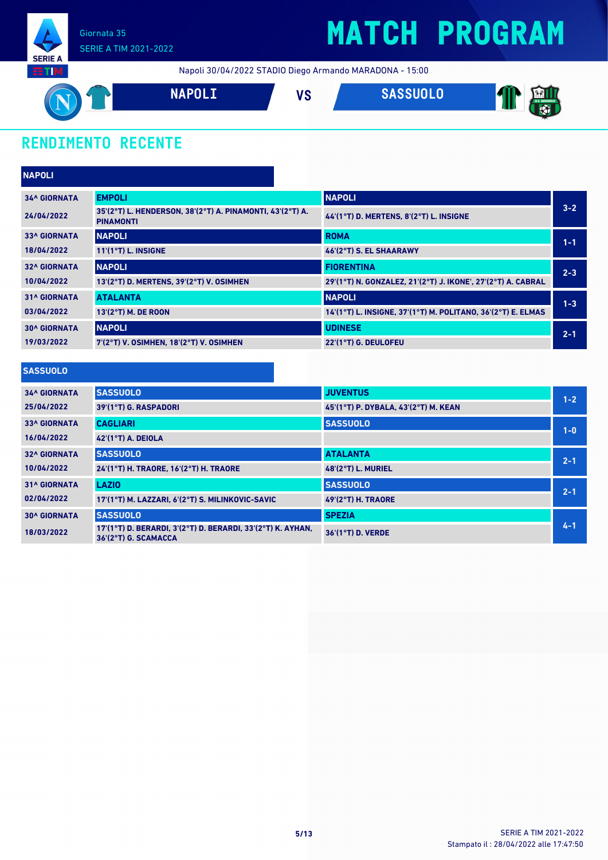

Napoli 30/04/2022 STADIO Diego Armando MARADONA - 15:00



### **RENDIMENTO RECENTE**

| <b>NAPOLI</b>       |                                                                               |                                                              |         |
|---------------------|-------------------------------------------------------------------------------|--------------------------------------------------------------|---------|
| <b>34^ GIORNATA</b> | <b>EMPOLI</b>                                                                 | <b>NAPOLI</b>                                                |         |
| 24/04/2022          | 35'(2°T) L. HENDERSON, 38'(2°T) A. PINAMONTI, 43'(2°T) A.<br><b>PINAMONTI</b> | 44'(1°T) D. MERTENS, 8'(2°T) L. INSIGNE                      | $3 - 2$ |
| <b>33^ GIORNATA</b> | <b>NAPOLI</b>                                                                 | <b>ROMA</b>                                                  | $1 - 1$ |
| 18/04/2022          | $11'(1°T)$ L. INSIGNE                                                         | 46'(2°T) S. EL SHAARAWY                                      |         |
| <b>32^ GIORNATA</b> | <b>NAPOLI</b>                                                                 | <b>FIORENTINA</b>                                            | $2 - 3$ |
| 10/04/2022          | 13'(2°T) D. MERTENS, 39'(2°T) V. OSIMHEN                                      | 29'(1°T) N. GONZALEZ, 21'(2°T) J. IKONE', 27'(2°T) A. CABRAL |         |
| <b>31^ GIORNATA</b> | <b>ATALANTA</b>                                                               | <b>NAPOLI</b>                                                | $1 - 3$ |
| 03/04/2022          | 13'(2°T) M. DE ROON                                                           | 14'(1°T) L. INSIGNE, 37'(1°T) M. POLITANO, 36'(2°T) E. ELMAS |         |
| <b>30^ GIORNATA</b> | <b>NAPOLI</b>                                                                 | <b>UDINESE</b>                                               | $2 - 1$ |
| 19/03/2022          | 7'(2°T) V. OSIMHEN, 18'(2°T) V. OSIMHEN                                       | 22'(1°T) G. DEULOFEU                                         |         |

#### **SASSUOLO**

| <b>34^ GIORNATA</b> | <b>SASSUOLO</b>                                                                     | <b>JUVENTUS</b>                      | $1 - 2$ |
|---------------------|-------------------------------------------------------------------------------------|--------------------------------------|---------|
| 25/04/2022          | 39'(1°T) G. RASPADORI                                                               | 45'(1°T) P. DYBALA, 43'(2°T) M. KEAN |         |
| <b>33^ GIORNATA</b> | <b>CAGLIARI</b>                                                                     | <b>SASSUOLO</b>                      | $1 - 0$ |
| 16/04/2022          | $42'(1°T)$ A. DEIOLA                                                                |                                      |         |
| <b>32^ GIORNATA</b> | <b>SASSUOLO</b>                                                                     | <b>ATALANTA</b>                      | $2 - 1$ |
| 10/04/2022          | 24'(1°T) H. TRAORE. 16'(2°T) H. TRAORE                                              | $48(2°T)$ L. MURIEL                  |         |
| <b>31^ GIORNATA</b> | <b>LAZIO</b>                                                                        | <b>SASSUOLO</b>                      | $2 - 1$ |
| 02/04/2022          | 17'(1°T) M. LAZZARI, 6'(2°T) S. MILINKOVIC-SAVIC                                    | <b>49'(2°T) H. TRAORE</b>            |         |
| <b>30^ GIORNATA</b> | <b>SASSUOLO</b>                                                                     | <b>SPEZIA</b>                        |         |
| 18/03/2022          | 17'(1°T) D. BERARDI, 3'(2°T) D. BERARDI, 33'(2°T) K. AYHAN,<br>36'(2°T) G. SCAMACCA | 36'(1°T) D. VERDE                    | $4 - 1$ |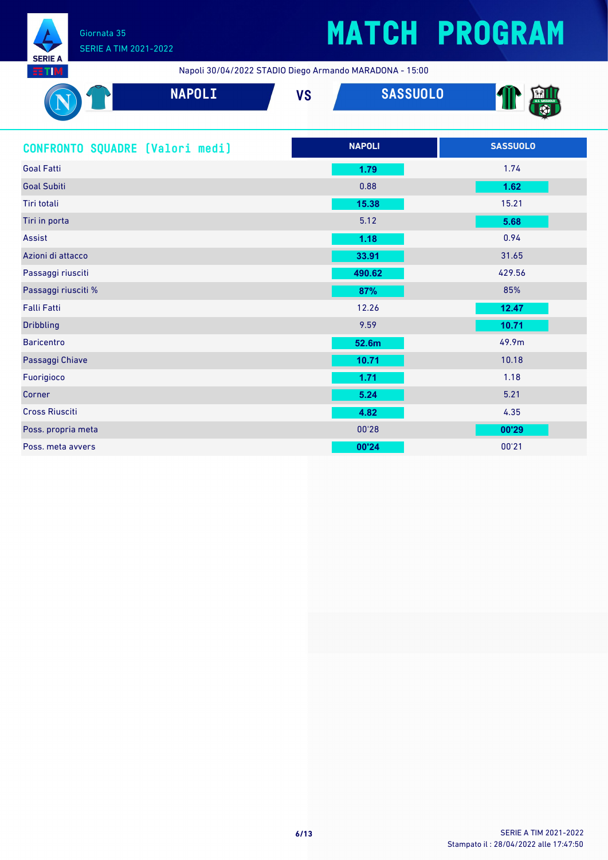

## **MATCH PROGRAM**

| <b>NAPOLI</b>                   | <b>SASSUOLO</b><br><b>VS</b> |                 |
|---------------------------------|------------------------------|-----------------|
| CONFRONTO SQUADRE (Valori medi) | <b>NAPOLI</b>                | <b>SASSUOLO</b> |
| <b>Goal Fatti</b>               | 1.79                         | 1.74            |
| <b>Goal Subiti</b>              | 0.88                         | 1.62            |
| Tiri totali                     | 15.38                        | 15.21           |
| Tiri in porta                   | 5.12                         | 5.68            |
| Assist                          | 1.18                         | 0.94            |
| Azioni di attacco               | 33.91                        | 31.65           |
| Passaggi riusciti               | 490.62                       | 429.56          |
| Passaggi riusciti %             | 87%                          | 85%             |
| <b>Falli Fatti</b>              | 12.26                        | 12.47           |
| <b>Dribbling</b>                | 9.59                         | 10.71           |
| <b>Baricentro</b>               | 52.6m                        | 49.9m           |
| Passaggi Chiave                 | 10.71                        | 10.18           |
| Fuorigioco                      | 1.71                         | 1.18            |
| Corner                          | 5.24                         | 5.21            |
| <b>Cross Riusciti</b>           | 4.82                         | 4.35            |
| Poss. propria meta              | 00'28                        | 00'29           |
| Poss, meta avvers               | 00'24                        | 00'21           |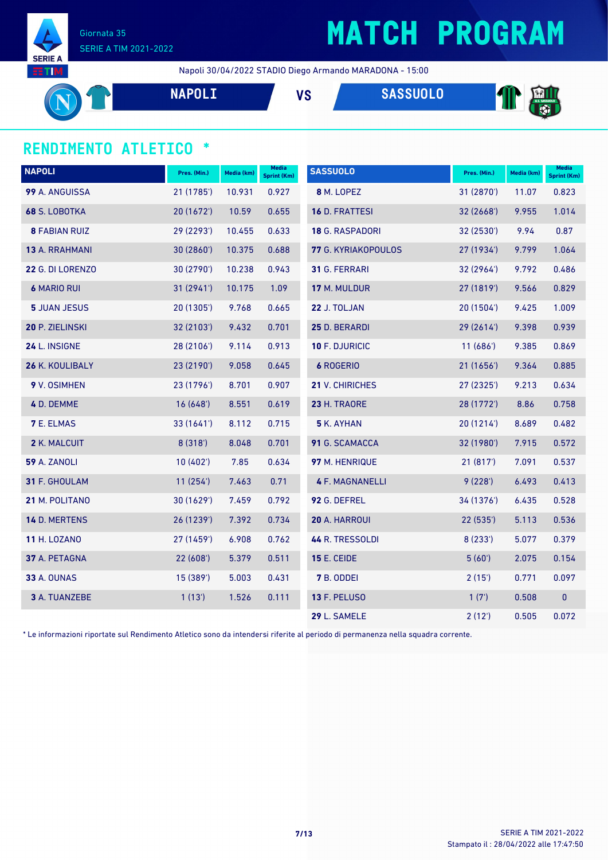

### **MATCH PROGRAM**

Napoli 30/04/2022 STADIO Diego Armando MARADONA - 15:00

**NAPOLI VS SASSUOLO** T

#### **RENDIMENTO ATLETICO \***

| <b>NAPOLI</b>        | Pres. (Min.) | Media (km) | Media<br><b>Sprint (Km)</b> | <b>SASSUOLO</b>        | Pres. (Min.) | Media (km) | <b>Media</b><br>Sprint (Km) |
|----------------------|--------------|------------|-----------------------------|------------------------|--------------|------------|-----------------------------|
| 99 A. ANGUISSA       | 21 (1785')   | 10.931     | 0.927                       | 8 M. LOPEZ             | 31 (2870')   | 11.07      | 0.823                       |
| 68 S. LOBOTKA        | 20 (1672')   | 10.59      | 0.655                       | 16 D. FRATTESI         | 32 (2668')   | 9.955      | 1.014                       |
| <b>8 FABIAN RUIZ</b> | 29 (2293')   | 10.455     | 0.633                       | 18 G. RASPADORI        | 32 (2530')   | 9.94       | 0.87                        |
| 13 A. RRAHMANI       | 30(2860)     | 10.375     | 0.688                       | 77 G. KYRIAKOPOULOS    | 27 (1934')   | 9.799      | 1.064                       |
| 22 G. DI LORENZO     | 30 (2790')   | 10.238     | 0.943                       | 31 G. FERRARI          | 32 (2964')   | 9.792      | 0.486                       |
| <b>6 MARIO RUI</b>   | 31 (2941')   | 10.175     | 1.09                        | 17 M. MULDUR           | 27 (1819')   | 9.566      | 0.829                       |
| <b>5 JUAN JESUS</b>  | 20 (1305')   | 9.768      | 0.665                       | 22 J. TOLJAN           | 20(1504)     | 9.425      | 1.009                       |
| 20 P. ZIELINSKI      | 32 (2103')   | 9.432      | 0.701                       | 25 D. BERARDI          | 29 (2614')   | 9.398      | 0.939                       |
| 24 L. INSIGNE        | 28 (2106')   | 9.114      | 0.913                       | 10 F. DJURICIC         | 11(686)      | 9.385      | 0.869                       |
| 26 K. KOULIBALY      | 23 (2190')   | 9.058      | 0.645                       | <b>6 ROGERIO</b>       | 21 (1656')   | 9.364      | 0.885                       |
| 9 V. OSIMHEN         | 23 (1796')   | 8.701      | 0.907                       | 21 V. CHIRICHES        | 27 (2325')   | 9.213      | 0.634                       |
| 4 D. DEMME           | 16(648)      | 8.551      | 0.619                       | 23 H. TRAORE           | 28 (1772')   | 8.86       | 0.758                       |
| <b>7 E. ELMAS</b>    | 33 (1641')   | 8.112      | 0.715                       | 5 K. AYHAN             | 20(1214)     | 8.689      | 0.482                       |
| 2 K. MALCUIT         | 8(318)       | 8.048      | 0.701                       | 91 G. SCAMACCA         | 32 (1980')   | 7.915      | 0.572                       |
| <b>59 A. ZANOLI</b>  | 10(402)      | 7.85       | 0.634                       | 97 M. HENRIQUE         | 21(817)      | 7.091      | 0.537                       |
| 31 F. GHOULAM        | 11(254)      | 7.463      | 0.71                        | <b>4 F. MAGNANELLI</b> | 9(228')      | 6.493      | 0.413                       |
| 21 M. POLITANO       | 30 (1629')   | 7.459      | 0.792                       | 92 G. DEFREL           | 34 (1376')   | 6.435      | 0.528                       |
| 14 D. MERTENS        | 26 (1239')   | 7.392      | 0.734                       | 20 A. HARROUI          | 22 (535')    | 5.113      | 0.536                       |
| <b>11 H. LOZANO</b>  | 27 (1459')   | 6.908      | 0.762                       | 44 R. TRESSOLDI        | 8(233')      | 5.077      | 0.379                       |
| 37 A. PETAGNA        | 22(608)      | 5.379      | 0.511                       | <b>15 E. CEIDE</b>     | 5(60)        | 2.075      | 0.154                       |
| <b>33 A. OUNAS</b>   | 15 (389')    | 5.003      | 0.431                       | 7 B. ODDEI             | 2(15)        | 0.771      | 0.097                       |
| 3 A. TUANZEBE        | 1(13)        | 1.526      | 0.111                       | <b>13 F. PELUSO</b>    | 1(7)         | 0.508      | $\mathbf 0$                 |
|                      |              |            |                             | 29 L. SAMELE           | 2(12')       | 0.505      | 0.072                       |

\* Le informazioni riportate sul Rendimento Atletico sono da intendersi riferite al periodo di permanenza nella squadra corrente.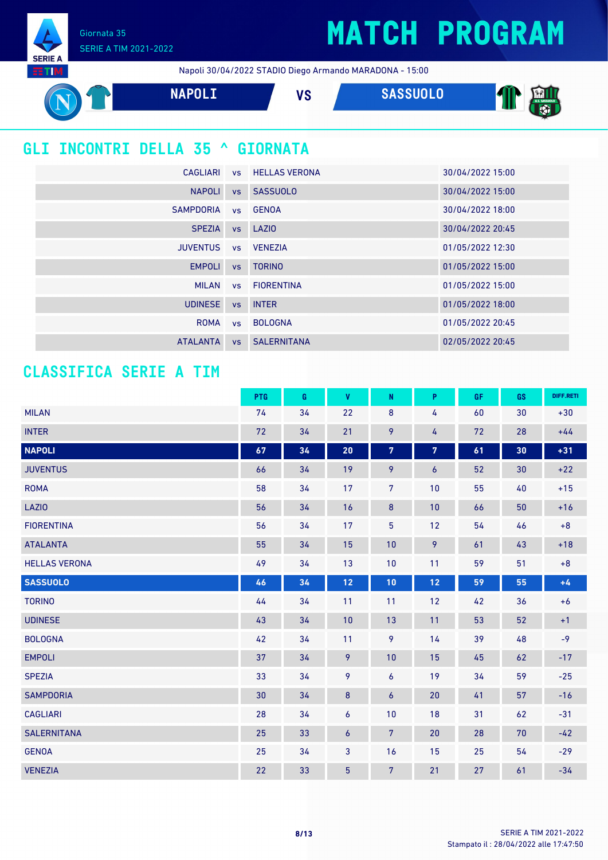Giornata 35 SERIE A TIM 2021-2022

**SERIE A EETIM** 

Napoli 30/04/2022 STADIO Diego Armando MARADONA - 15:00



### **GLI INCONTRI DELLA 35 ^ GIORNATA**

| CAGLIARI         |           | <b>vs</b> HELLAS VERONA | 30/04/2022 15:00 |
|------------------|-----------|-------------------------|------------------|
| <b>NAPOLI</b>    |           | vs SASSUOLO             | 30/04/2022 15:00 |
| <b>SAMPDORIA</b> |           | vs GENOA                | 30/04/2022 18:00 |
| <b>SPEZIA</b>    |           | vs LAZIO                | 30/04/2022 20:45 |
| <b>JUVENTUS</b>  |           | vs VENEZIA              | 01/05/2022 12:30 |
| <b>EMPOLI</b>    | <b>VS</b> | <b>TORINO</b>           | 01/05/2022 15:00 |
| <b>MILAN</b>     |           | vs FIORENTINA           | 01/05/2022 15:00 |
| <b>UDINESE</b>   | <b>VS</b> | <b>INTER</b>            | 01/05/2022 18:00 |
| <b>ROMA</b>      | <b>VS</b> | <b>BOLOGNA</b>          | 01/05/2022 20:45 |
| <b>ATALANTA</b>  |           | <b>vs</b> SALERNITANA   | 02/05/2022 20:45 |

### **CLASSIFICA SERIE A TIM**

|                      | PTG             | G  | <b>V</b>        | N              | P                | GF. | GS | DIFF.RETI |
|----------------------|-----------------|----|-----------------|----------------|------------------|-----|----|-----------|
| <b>MILAN</b>         | 74              | 34 | 22              | $\bf 8$        | 4                | 60  | 30 | $+30$     |
| <b>INTER</b>         | 72              | 34 | 21              | 9              | 4                | 72  | 28 | $+44$     |
| <b>NAPOLI</b>        | 67              | 34 | 20              | $\overline{7}$ | 7                | 61  | 30 | $+31$     |
| <b>JUVENTUS</b>      | 66              | 34 | 19              | 9              | $\boldsymbol{6}$ | 52  | 30 | $+22$     |
| <b>ROMA</b>          | 58              | 34 | 17              | $\overline{7}$ | 10               | 55  | 40 | $+15$     |
| <b>LAZIO</b>         | 56              | 34 | 16              | $\bf{8}$       | 10               | 66  | 50 | $+16$     |
| <b>FIORENTINA</b>    | 56              | 34 | 17              | $\overline{5}$ | 12               | 54  | 46 | $+8$      |
| <b>ATALANTA</b>      | 55              | 34 | 15              | 10             | 9                | 61  | 43 | $+18$     |
| <b>HELLAS VERONA</b> | 49              | 34 | 13              | 10             | 11               | 59  | 51 | $+8$      |
| <b>SASSUOLO</b>      | 46              | 34 | 12              | 10             | 12               | 59  | 55 | $+4$      |
| <b>TORINO</b>        | 44              | 34 | 11              | 11             | 12               | 42  | 36 | $+6$      |
| <b>UDINESE</b>       | 43              | 34 | 10              | 13             | 11               | 53  | 52 | $+1$      |
| <b>BOLOGNA</b>       | 42              | 34 | 11              | 9              | 14               | 39  | 48 | $-9$      |
| <b>EMPOLI</b>        | 37              | 34 | 9               | 10             | 15               | 45  | 62 | $-17$     |
| <b>SPEZIA</b>        | 33              | 34 | 9               | 6              | 19               | 34  | 59 | $-25$     |
| <b>SAMPDORIA</b>     | 30 <sub>2</sub> | 34 | $\bf 8$         | 6              | 20               | 41  | 57 | $-16$     |
| <b>CAGLIARI</b>      | 28              | 34 | 6               | 10             | 18               | 31  | 62 | $-31$     |
| <b>SALERNITANA</b>   | 25              | 33 | $\overline{6}$  | $7\phantom{.}$ | 20               | 28  | 70 | $-42$     |
| <b>GENOA</b>         | 25              | 34 | 3               | 16             | 15               | 25  | 54 | $-29$     |
| <b>VENEZIA</b>       | 22              | 33 | $5\phantom{.0}$ | $\overline{7}$ | 21               | 27  | 61 | $-34$     |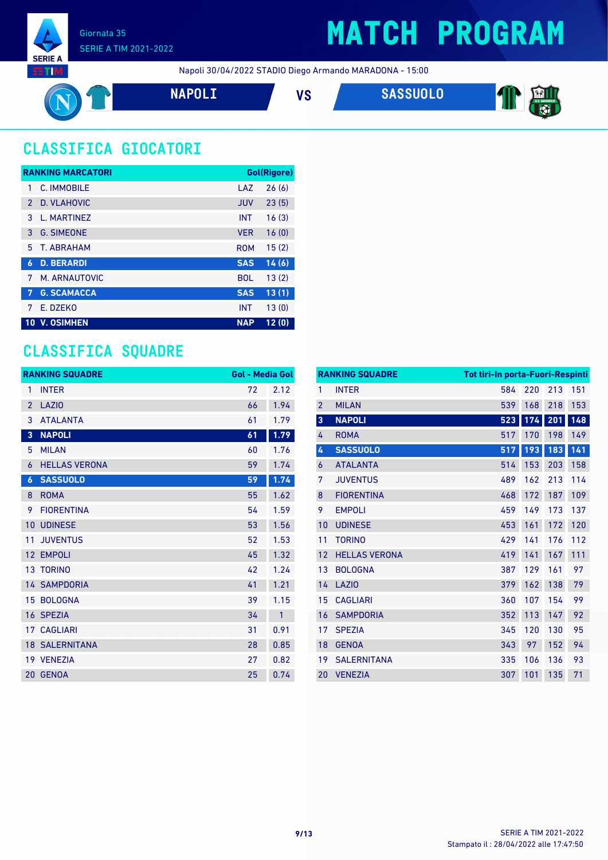

### **MATCH PROGRAM**

T

Napoli 30/04/2022 STADIO Diego Armando MARADONA - 15:00



### **CLASSIFICA GIOCATORI**

|               | <b>RANKING MARCATORI</b> |            | <b>Gol(Rigore)</b> |
|---------------|--------------------------|------------|--------------------|
| 1             | C. IMMOBILE              | LAZ        | 26(6)              |
| $\mathcal{P}$ | D. VLAHOVIC              | <b>JUV</b> | 23(5)              |
| 3             | L. MARTINEZ              | <b>INT</b> | 16(3)              |
| 3             | <b>G. SIMEONE</b>        | <b>VER</b> | 16(0)              |
| 5.            | <b>T. ABRAHAM</b>        | <b>ROM</b> | 15(2)              |
| 6             | <b>D. BERARDI</b>        | <b>SAS</b> | 14(6)              |
| 7             | M. ARNAUTOVIC            | <b>BOL</b> | 13(2)              |
| 7             | <b>G. SCAMACCA</b>       | <b>SAS</b> | 13(1)              |
| 7             | E. DZEKO                 | <b>INT</b> | 13(0)              |
| 10            | <b>V. OSIMHEN</b>        | <b>NAP</b> | 12(0)              |

### **CLASSIFICA SQUADRE**

|                | <b>RANKING SQUADRE</b> | <b>Gol - Media Gol</b> |              |
|----------------|------------------------|------------------------|--------------|
| 1              | <b>INTER</b>           | 72                     | 2.12         |
| $\overline{2}$ | LAZI <sub>0</sub>      | 66                     | 1.94         |
| 3              | <b>ATALANTA</b>        | 61                     | 1.79         |
| 3              | <b>NAPOLI</b>          | 61                     | 1.79         |
| 5              | <b>MILAN</b>           | 60                     | 1.76         |
| 6              | <b>HELLAS VERONA</b>   | 59                     | 1.74         |
| 6              | <b>SASSUOLO</b>        | 59                     | 1.74         |
| 8              | <b>ROMA</b>            | 55                     | 1.62         |
| 9              | <b>FIORENTINA</b>      | 54                     | 1.59         |
| 10             | <b>UDINESE</b>         | 53                     | 1.56         |
| 11             | <b>JUVENTUS</b>        | 52                     | 1.53         |
| 12             | <b>EMPOLI</b>          | 45                     | 1.32         |
|                | 13 TORINO              | 42                     | 1.24         |
|                | <b>14 SAMPDORIA</b>    | 41                     | 1.21         |
| 15             | <b>BOLOGNA</b>         | 39                     | 1.15         |
|                | 16 SPEZIA              | 34                     | $\mathbf{1}$ |
|                | 17 CAGLIARI            | 31                     | 0.91         |
|                | <b>18 SALERNITANA</b>  | 28                     | 0.85         |
|                | 19 VENEZIA             | 27                     | 0.82         |
|                | 20 GENOA               | 25                     | 0.74         |

|                         | <b>RANKING SQUADRE</b> | <b>Tot tiri-In porta-Fuori-Respinti</b> |     |     |     |
|-------------------------|------------------------|-----------------------------------------|-----|-----|-----|
| 1                       | <b>INTER</b>           | 584                                     | 220 | 213 | 151 |
| $\overline{2}$          | <b>MILAN</b>           | 539                                     | 168 | 218 | 153 |
| $\overline{\mathbf{3}}$ | <b>NAPOLI</b>          | 523                                     | 174 | 201 | 148 |
| 4                       | <b>ROMA</b>            | 517                                     | 170 | 198 | 149 |
| 4                       | <b>SASSUOLO</b>        | 517                                     | 193 | 183 | 141 |
| 6                       | <b>ATALANTA</b>        | 514                                     | 153 | 203 | 158 |
| 7                       | <b>JUVENTUS</b>        | 489                                     | 162 | 213 | 114 |
| 8                       | <b>FIORENTINA</b>      | 468                                     | 172 | 187 | 109 |
| 9                       | <b>EMPOLI</b>          | 459                                     | 149 | 173 | 137 |
| 10                      | <b>UDINESE</b>         | 453                                     | 161 | 172 | 120 |
| 11                      | <b>TORINO</b>          | 429                                     | 141 | 176 | 112 |
| 12                      | <b>HELLAS VERONA</b>   | 419                                     | 141 | 167 | 111 |
| 13                      | <b>BOLOGNA</b>         | 387                                     | 129 | 161 | 97  |
| 14                      | <b>LAZIO</b>           | 379                                     | 162 | 138 | 79  |
| 15                      | <b>CAGLIARI</b>        | 360                                     | 107 | 154 | 99  |
| 16                      | <b>SAMPDORIA</b>       | 352                                     | 113 | 147 | 92  |
| 17                      | <b>SPEZIA</b>          | 345                                     | 120 | 130 | 95  |
| 18                      | <b>GENOA</b>           | 343                                     | 97  | 152 | 94  |
| 19                      | <b>SALERNITANA</b>     | 335                                     | 106 | 136 | 93  |
| 20                      | <b>VENEZIA</b>         | 307                                     | 101 | 135 | 71  |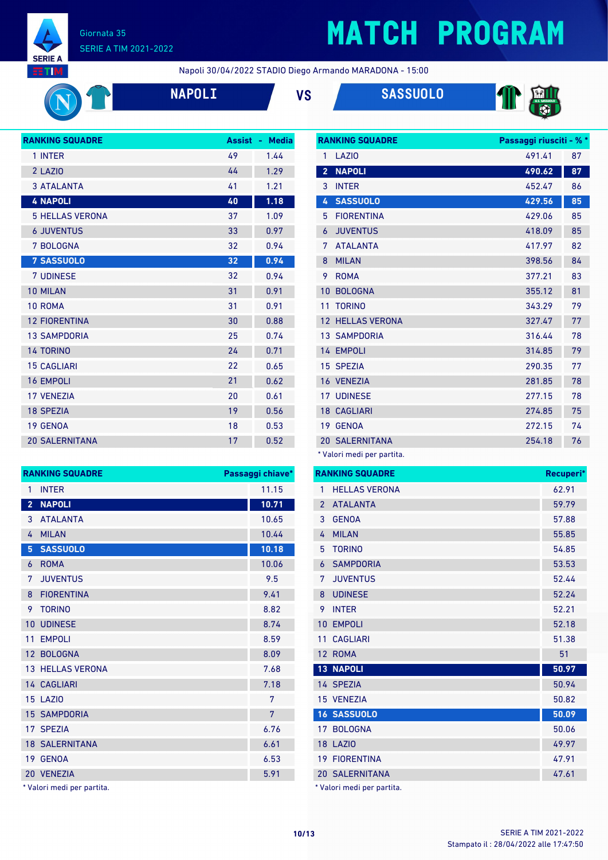

## **MATCH PROGRAM**

Napoli 30/04/2022 STADIO Diego Armando MARADONA - 15:00







| <b>RANKING SQUADRE</b> | <b>Assist</b> | <b>Media</b><br>н. |
|------------------------|---------------|--------------------|
| 1 INTER                | 49            | 1.44               |
| 2 LAZIO                | 44            | 1.29               |
| <b>3 ATALANTA</b>      | 41            | 1.21               |
| <b>4 NAPOLI</b>        | 40            | 1.18               |
| <b>5 HELLAS VERONA</b> | 37            | 1.09               |
| <b>6 JUVENTUS</b>      | 33            | 0.97               |
| 7 BOLOGNA              | 32            | 0.94               |
| <b>7 SASSUOLO</b>      | 32            | 0.94               |
| <b>7 UDINESE</b>       | 32            | 0.94               |
| <b>10 MILAN</b>        | 31            | 0.91               |
| 10 ROMA                | 31            | 0.91               |
| <b>12 FIORENTINA</b>   | 30            | 0.88               |
| <b>13 SAMPDORIA</b>    | 25            | 0.74               |
| <b>14 TORINO</b>       | 24            | 0.71               |
| <b>15 CAGLIARI</b>     | 22            | 0.65               |
| <b>16 EMPOLI</b>       | 21            | 0.62               |
| <b>17 VENEZIA</b>      | 20            | 0.61               |
| <b>18 SPEZIA</b>       | 19            | 0.56               |
| 19 GENOA               | 18            | 0.53               |
| <b>20 SALERNITANA</b>  | 17            | 0.52               |

| <b>RANKING SQUADRE</b> |                       | Passaggi riusciti - % * |    |
|------------------------|-----------------------|-------------------------|----|
| 1                      | LAZI <sub>0</sub>     | 491.41                  | 87 |
| $\overline{2}$         | <b>NAPOLI</b>         | 490.62                  | 87 |
| 3                      | <b>INTER</b>          | 452.47                  | 86 |
| 4                      | <b>SASSUOLO</b>       | 429.56                  | 85 |
| 5                      | <b>FIORENTINA</b>     | 429.06                  | 85 |
| 6                      | <b>JUVENTUS</b>       | 418.09                  | 85 |
| 7                      | <b>ATALANTA</b>       | 417.97                  | 82 |
| 8                      | <b>MILAN</b>          | 398.56                  | 84 |
| 9                      | <b>ROMA</b>           | 377.21                  | 83 |
| 10                     | <b>BOLOGNA</b>        | 355.12                  | 81 |
| 11                     | <b>TORINO</b>         | 343.29                  | 79 |
| 12                     | <b>HELLAS VERONA</b>  | 327.47                  | 77 |
|                        | <b>13 SAMPDORIA</b>   | 316.44                  | 78 |
|                        | 14 EMPOLI             | 314.85                  | 79 |
|                        | 15 SPEZIA             | 290.35                  | 77 |
|                        | 16 VENEZIA            | 281.85                  | 78 |
|                        | <b>17 UDINESE</b>     | 277.15                  | 78 |
|                        | <b>18 CAGLIARI</b>    | 274.85                  | 75 |
| 19                     | <b>GENOA</b>          | 272.15                  | 74 |
|                        | <b>20 SALERNITANA</b> | 254.18                  | 76 |

\* Valori medi per partita.

|                 | <b>RANKING SQUADRE</b>     | Recuperi* |
|-----------------|----------------------------|-----------|
| 1               | <b>HELLAS VERONA</b>       | 62.91     |
| $\overline{2}$  | <b>ATALANTA</b>            | 59.79     |
| 3               | <b>GENOA</b>               | 57.88     |
| 4               | <b>MILAN</b>               | 55.85     |
| 5               | <b>TORINO</b>              | 54.85     |
| 6               | <b>SAMPDORIA</b>           | 53.53     |
| 7               | <b>JUVENTUS</b>            | 52.44     |
| 8               | <b>UDINESE</b>             | 52.24     |
| 9               | <b>INTER</b>               | 52.21     |
| 10              | <b>EMPOLI</b>              | 52.18     |
| 11              | <b>CAGLIARI</b>            | 51.38     |
| 12              | <b>ROMA</b>                | 51        |
| 13 <sup>°</sup> | <b>NAPOLI</b>              | 50.97     |
|                 | 14 SPEZIA                  | 50.94     |
|                 | 15 VENEZIA                 | 50.82     |
|                 | 16 SASSUOLO                | 50.09     |
| 17 <sup>1</sup> | <b>BOLOGNA</b>             | 50.06     |
|                 | <b>18 LAZIO</b>            | 49.97     |
| 19              | <b>FIORENTINA</b>          | 47.91     |
|                 | <b>20 SALERNITANA</b>      | 47.61     |
|                 | * Valori medi per partita. |           |

|                 | <b>RANKING SQUADRE</b>  | Passaggi chiave* |
|-----------------|-------------------------|------------------|
| 1               | <b>INTER</b>            | 11.15            |
| $\overline{2}$  | <b>NAPOLI</b>           | 10.71            |
| 3               | <b>ATALANTA</b>         | 10.65            |
| 4               | <b>MILAN</b>            | 10.44            |
| 5               | <b>SASSUOLO</b>         | 10.18            |
| 6               | <b>ROMA</b>             | 10.06            |
| 7               | <b>JUVENTUS</b>         | 9.5              |
| 8               | <b>FIORENTINA</b>       | 9.41             |
| 9               | <b>TORINO</b>           | 8.82             |
| 10              | <b>UDINESE</b>          | 8.74             |
| 11              | <b>EMPOLI</b>           | 8.59             |
| 12 <sup>°</sup> | <b>BOLOGNA</b>          | 8.09             |
|                 | <b>13 HELLAS VERONA</b> | 7.68             |
|                 | 14 CAGLIARI             | 7.18             |
|                 | <b>15 LAZIO</b>         | 7                |
|                 | <b>15 SAMPDORIA</b>     | 7                |
|                 | 17 SPEZIA               | 6.76             |
|                 | <b>18 SALERNITANA</b>   | 6.61             |
| 19              | <b>GENOA</b>            | 6.53             |
|                 | 20 VENEZIA              | 5.91             |

\* Valori medi per partita.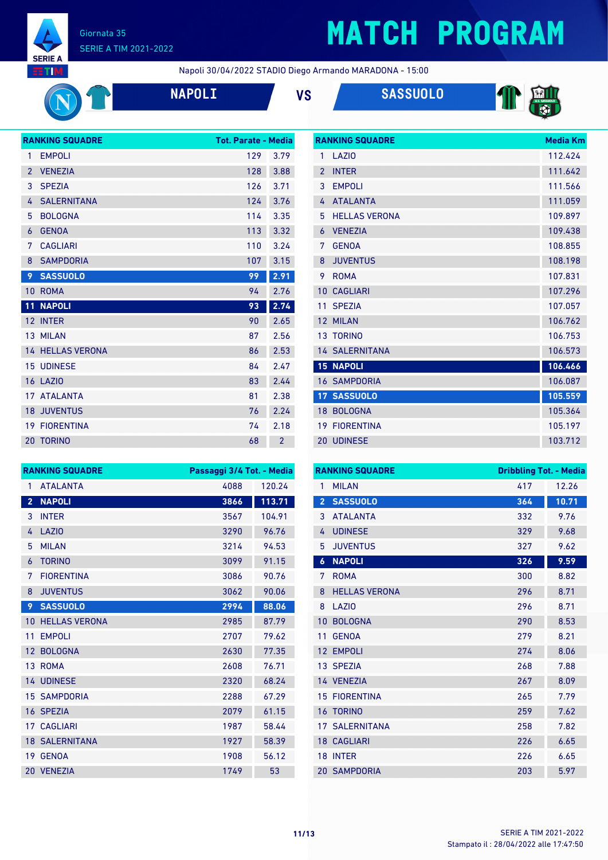

## **MATCH PROGRAM**

**RANKING SQUADRE Media Km** 

| <b>NAPOI</b> |
|--------------|
|              |

|  | Ŵ |  |
|--|---|--|
|  |   |  |





|                 | <b>RANKING SQUADRE</b>  | <b>Tot. Parate - Media</b> |                |
|-----------------|-------------------------|----------------------------|----------------|
| 1               | <b>EMPOLI</b>           | 129                        | 3.79           |
| $\overline{2}$  | <b>VENEZIA</b>          | 128                        | 3.88           |
| 3               | <b>SPEZIA</b>           | 126                        | 3.71           |
| 4               | <b>SALERNITANA</b>      | 124                        | 3.76           |
| 5               | <b>BOLOGNA</b>          | 114                        | 3.35           |
| 6               | <b>GENOA</b>            | 113                        | 3.32           |
| 7               | <b>CAGLIARI</b>         | 110                        | 3.24           |
| 8               | <b>SAMPDORIA</b>        | 107                        | 3.15           |
| 9               | <b>SASSUOLO</b>         | 99                         | 2.91           |
| 10 <sup>°</sup> | <b>ROMA</b>             | 94                         | 2.76           |
| 11              | <b>NAPOLI</b>           | 93                         | 2.74           |
|                 | 12 INTER                | 90                         | 2.65           |
|                 | 13 MILAN                | 87                         | 2.56           |
|                 | <b>14 HELLAS VERONA</b> | 86                         | 2.53           |
|                 | <b>15 UDINESE</b>       | 84                         | 2.47           |
|                 | <b>16 LAZIO</b>         | 83                         | 2.44           |
|                 | 17 ATALANTA             | 81                         | 2.38           |
|                 | <b>18 JUVENTUS</b>      | 76                         | 2.24           |
|                 | <b>19 FIORENTINA</b>    | 74                         | 2.18           |
| 20              | <b>TORINO</b>           | 68                         | $\overline{2}$ |
|                 |                         |                            |                |

| 1              | <b>LA710</b>          | 112.424 |
|----------------|-----------------------|---------|
| $\overline{2}$ | <b>INTER</b>          | 111.642 |
| 3              | <b>EMPOLI</b>         | 111.566 |
| 4              | <b>ATALANTA</b>       | 111.059 |
| 5              | <b>HELLAS VERONA</b>  | 109.897 |
| 6              | <b>VENEZIA</b>        | 109.438 |
| 7              | <b>GENOA</b>          | 108.855 |
| 8              | <b>JUVENTUS</b>       | 108.198 |
| 9              | <b>ROMA</b>           | 107.831 |
| 10             | <b>CAGLIARI</b>       | 107.296 |
| 11             | <b>SPEZIA</b>         | 107.057 |
| 12             | <b>MILAN</b>          | 106.762 |
|                | 13 TORINO             | 106.753 |
|                | <b>14 SALERNITANA</b> | 106.573 |
|                | <b>15 NAPOLI</b>      | 106.466 |
|                | <b>16 SAMPDORIA</b>   | 106.087 |
|                | 17 SASSUOLO           | 105.559 |
| 18             | <b>BOLOGNA</b>        | 105.364 |
| 19             | <b>FIORENTINA</b>     | 105.197 |
|                | <b>20 UDINESE</b>     | 103.712 |

| <b>RANKING SQUADRE</b> |                       | Passaggi 3/4 Tot. - Media |        |
|------------------------|-----------------------|---------------------------|--------|
| 1                      | <b>ATALANTA</b>       | 4088                      | 120.24 |
| $\overline{2}$         | <b>NAPOLI</b>         | 3866                      | 113.71 |
| 3                      | <b>INTER</b>          | 3567                      | 104.91 |
| 4                      | <b>LAZIO</b>          | 3290                      | 96.76  |
| 5                      | <b>MILAN</b>          | 3214                      | 94.53  |
| 6                      | <b>TORINO</b>         | 3099                      | 91.15  |
| 7                      | <b>FIORENTINA</b>     | 3086                      | 90.76  |
| 8                      | <b>JUVENTUS</b>       | 3062                      | 90.06  |
| 9                      | <b>SASSUOLO</b>       | 2994                      | 88.06  |
| 10                     | <b>HELLAS VERONA</b>  | 2985                      | 87.79  |
| 11                     | <b>EMPOLI</b>         | 2707                      | 79.62  |
| 12                     | <b>BOLOGNA</b>        | 2630                      | 77.35  |
| 13 <sup>°</sup>        | <b>ROMA</b>           | 2608                      | 76.71  |
|                        | <b>14 UDINESE</b>     | 2320                      | 68.24  |
|                        | <b>15 SAMPDORIA</b>   | 2288                      | 67.29  |
|                        | 16 SPEZIA             | 2079                      | 61.15  |
|                        | <b>17 CAGLIARI</b>    | 1987                      | 58.44  |
|                        | <b>18 SALERNITANA</b> | 1927                      | 58.39  |
| 19                     | <b>GENOA</b>          | 1908                      | 56.12  |
|                        | 20 VENEZIA            | 1749                      | 53     |

| <b>RANKING SQUADRE</b> |                       |     | <b>Dribbling Tot. - Media</b> |  |
|------------------------|-----------------------|-----|-------------------------------|--|
| 1                      | <b>MILAN</b>          | 417 | 12.26                         |  |
| $\overline{2}$         | <b>SASSUOLO</b>       | 364 | 10.71                         |  |
| 3                      | <b>ATALANTA</b>       | 332 | 9.76                          |  |
| 4                      | <b>UDINESE</b>        | 329 | 9.68                          |  |
| 5                      | <b>JUVENTUS</b>       | 327 | 9.62                          |  |
| $\boldsymbol{6}$       | <b>NAPOLI</b>         | 326 | 9.59                          |  |
| 7                      | <b>ROMA</b>           | 300 | 8.82                          |  |
| 8                      | <b>HELLAS VERONA</b>  | 296 | 8.71                          |  |
| 8                      | LAZI <sub>0</sub>     | 296 | 8.71                          |  |
| 10                     | <b>BOLOGNA</b>        | 290 | 8.53                          |  |
| 11                     | <b>GENOA</b>          | 279 | 8.21                          |  |
| 12                     | <b>EMPOLI</b>         | 274 | 8.06                          |  |
|                        | 13 SPEZIA             | 268 | 7.88                          |  |
|                        | 14 VENEZIA            | 267 | 8.09                          |  |
| 15                     | <b>FIORENTINA</b>     | 265 | 7.79                          |  |
| 16                     | <b>TORINO</b>         | 259 | 7.62                          |  |
|                        | <b>17 SALERNITANA</b> | 258 | 7.82                          |  |
|                        | <b>18 CAGLIARI</b>    | 226 | 6.65                          |  |
| 18                     | <b>INTER</b>          | 226 | 6.65                          |  |
|                        | <b>20 SAMPDORIA</b>   | 203 | 5.97                          |  |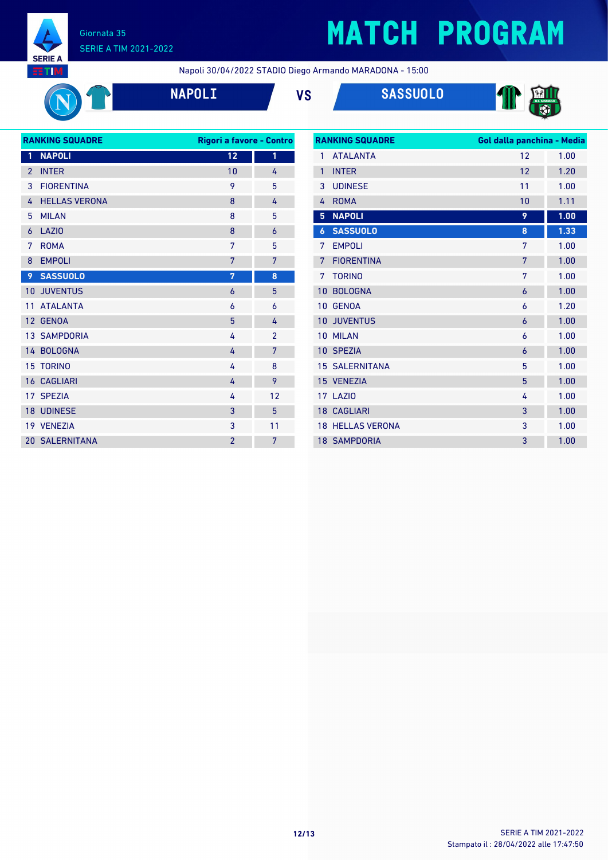

# **MATCH PROGRAM**





| <b>RANKING SQUADRE</b> |                       | Rigori a favore - Contro |                |  |
|------------------------|-----------------------|--------------------------|----------------|--|
| 1                      | <b>NAPOLI</b>         | 12                       | 1              |  |
| $\overline{2}$         | <b>INTER</b>          | 10                       | 4              |  |
| 3                      | <b>FIORENTINA</b>     | 9                        | 5              |  |
| 4                      | <b>HELLAS VERONA</b>  | 8                        | 4              |  |
| 5                      | <b>MILAN</b>          | 8                        | 5              |  |
| 6                      | <b>LAZIO</b>          | 8                        | 6              |  |
| 7                      | <b>ROMA</b>           | 7                        | 5              |  |
| 8                      | <b>EMPOLI</b>         | 7                        | 7              |  |
| 9                      | <b>SASSUOLO</b>       | 7                        | 8              |  |
| 10                     | <b>JUVENTUS</b>       | 6                        | 5              |  |
| 11                     | <b>ATALANTA</b>       | 6                        | 6              |  |
| 12 <sup>2</sup>        | <b>GENOA</b>          | 5                        | 4              |  |
|                        | 13 SAMPDORIA          | 4                        | $\overline{2}$ |  |
|                        | 14 BOLOGNA            | 4                        | 7              |  |
| 15                     | <b>TORINO</b>         | 4                        | 8              |  |
|                        | <b>16 CAGLIARI</b>    | 4                        | 9              |  |
|                        | 17 SPEZIA             | 4                        | 12             |  |
|                        | <b>18 UDINESE</b>     | 3                        | 5              |  |
|                        | 19 VENEZIA            | 3                        | 11             |  |
|                        | <b>20 SALERNITANA</b> | $\overline{2}$           | 7              |  |
|                        |                       |                          |                |  |

| <b>RANKING SQUADRE</b> |                         | Gol dalla panchina - Media |      |
|------------------------|-------------------------|----------------------------|------|
| 1                      | <b>ATALANTA</b>         | 12                         | 1.00 |
| $\mathbf{1}$           | <b>INTER</b>            | 12                         | 1.20 |
| 3                      | <b>UDINESE</b>          | 11                         | 1.00 |
| 4                      | <b>ROMA</b>             | 10                         | 1.11 |
| 5                      | <b>NAPOLI</b>           | 9                          | 1.00 |
| 6                      | <b>SASSUOLO</b>         | 8                          | 1.33 |
| 7                      | <b>EMPOLI</b>           | 7                          | 1.00 |
| 7                      | <b>FIORENTINA</b>       | 7                          | 1.00 |
| $7\phantom{.0}$        | <b>TORINO</b>           | 7                          | 1.00 |
| 10                     | <b>BOLOGNA</b>          | 6                          | 1.00 |
| 10                     | <b>GENOA</b>            | 6                          | 1.20 |
| 10 <sup>°</sup>        | <b>JUVENTUS</b>         | $\overline{6}$             | 1.00 |
| 10 <sup>1</sup>        | <b>MILAN</b>            | 6                          | 1.00 |
|                        | 10 SPEZIA               | 6                          | 1.00 |
|                        | <b>15 SALERNITANA</b>   | 5                          | 1.00 |
|                        | 15 VENEZIA              | 5                          | 1.00 |
|                        | 17 LAZIO                | 4                          | 1.00 |
|                        | <b>18 CAGLIARI</b>      | 3                          | 1.00 |
|                        | <b>18 HELLAS VERONA</b> | 3                          | 1.00 |
|                        | <b>18 SAMPDORIA</b>     | 3                          | 1.00 |